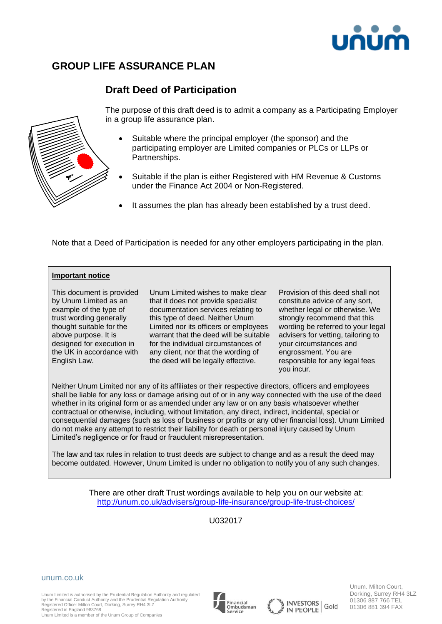

# **GROUP LIFE ASSURANCE PLAN**

## **Draft Deed of Participation**



The purpose of this draft deed is to admit a company as a Participating Employer in a group life assurance plan.

- Suitable where the principal employer (the sponsor) and the participating employer are Limited companies or PLCs or LLPs or Partnerships.
- Suitable if the plan is either Registered with HM Revenue & Customs under the Finance Act 2004 or Non-Registered.
- It assumes the plan has already been established by a trust deed.

Note that a Deed of Participation is needed for any other employers participating in the plan.

### **Important notice**

This document is provided by Unum Limited as an example of the type of trust wording generally thought suitable for the above purpose. It is designed for execution in the UK in accordance with English Law.

Unum Limited wishes to make clear that it does not provide specialist documentation services relating to this type of deed. Neither Unum Limited nor its officers or employees warrant that the deed will be suitable for the individual circumstances of any client, nor that the wording of the deed will be legally effective.

Provision of this deed shall not constitute advice of any sort, whether legal or otherwise. We strongly recommend that this wording be referred to your legal advisers for vetting, tailoring to your circumstances and engrossment. You are responsible for any legal fees you incur.

Neither Unum Limited nor any of its affiliates or their respective directors, officers and employees shall be liable for any loss or damage arising out of or in any way connected with the use of the deed whether in its original form or as amended under any law or on any basis whatsoever whether contractual or otherwise, including, without limitation, any direct, indirect, incidental, special or consequential damages (such as loss of business or profits or any other financial loss). Unum Limited do not make any attempt to restrict their liability for death or personal injury caused by Unum Limited's negligence or for fraud or fraudulent misrepresentation.

The law and tax rules in relation to trust deeds are subject to change and as a result the deed may become outdated. However, Unum Limited is under no obligation to notify you of any such changes.

> There are other draft Trust wordings available to help you on our website at: <http://unum.co.uk/advisers/group-life-insurance/group-life-trust-choices/>

> > U032017

#### unum.co.uk

Unum Limited is authorised by the Prudential Regulation Authority and regulated by the Financial Conduct Authority and the Prudential Regulation Authority Registered Office: Milton Court, Dorking, Surrey RH4 3LZ Registered in England 983768

Unum Limited is a member of the Unum Group of Companies







Unum. Milton Court, Dorking, Surrey RH4 3LZ 01306 887 766 TEL 01306 881 394 FAX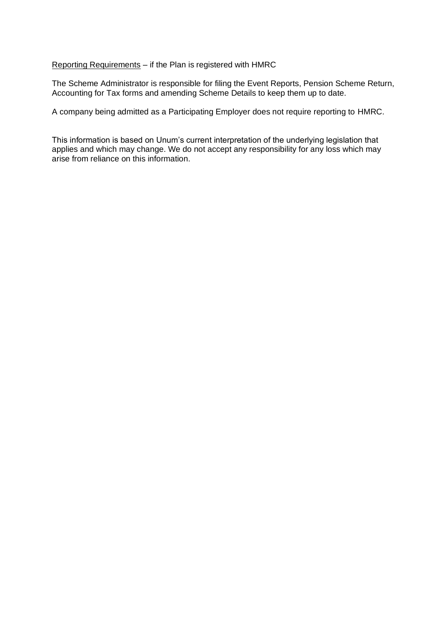Reporting Requirements – if the Plan is registered with HMRC

The Scheme Administrator is responsible for filing the Event Reports, Pension Scheme Return, Accounting for Tax forms and amending Scheme Details to keep them up to date.

A company being admitted as a Participating Employer does not require reporting to HMRC.

This information is based on Unum's current interpretation of the underlying legislation that applies and which may change. We do not accept any responsibility for any loss which may arise from reliance on this information.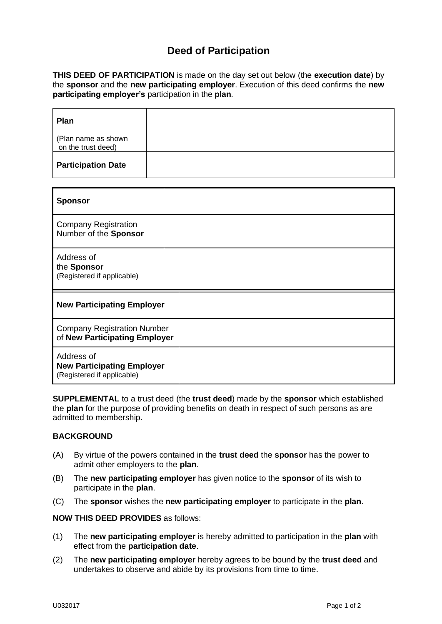## **Deed of Participation**

**THIS DEED OF PARTICIPATION** is made on the day set out below (the **execution date**) by the **sponsor** and the **new participating employer**. Execution of this deed confirms the **new participating employer's** participation in the **plan**.

| <b>Plan</b>                               |  |
|-------------------------------------------|--|
| (Plan name as shown<br>on the trust deed) |  |
| <b>Participation Date</b>                 |  |

| <b>Sponsor</b>                                                                |  |
|-------------------------------------------------------------------------------|--|
| <b>Company Registration</b><br>Number of the Sponsor                          |  |
| Address of<br>the Sponsor<br>(Registered if applicable)                       |  |
| <b>New Participating Employer</b>                                             |  |
| <b>Company Registration Number</b><br>of New Participating Employer           |  |
| Address of<br><b>New Participating Employer</b><br>(Registered if applicable) |  |

**SUPPLEMENTAL** to a trust deed (the **trust deed**) made by the **sponsor** which established the **plan** for the purpose of providing benefits on death in respect of such persons as are admitted to membership.

### **BACKGROUND**

- (A) By virtue of the powers contained in the **trust deed** the **sponsor** has the power to admit other employers to the **plan**.
- (B) The **new participating employer** has given notice to the **sponsor** of its wish to participate in the **plan**.
- (C) The **sponsor** wishes the **new participating employer** to participate in the **plan**.

**NOW THIS DEED PROVIDES** as follows:

- (1) The **new participating employer** is hereby admitted to participation in the **plan** with effect from the **participation date**.
- (2) The **new participating employer** hereby agrees to be bound by the **trust deed** and undertakes to observe and abide by its provisions from time to time.